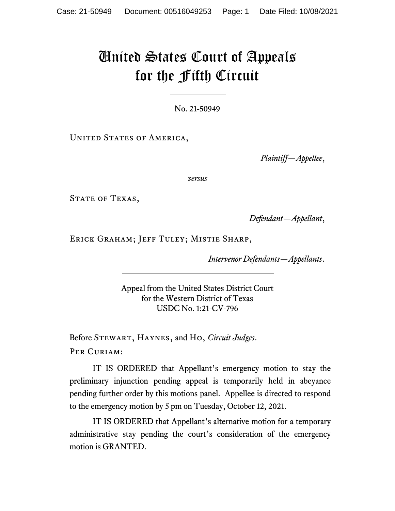## United States Court of Appeals for the Fifth Circuit

No. 21-50949

UNITED STATES OF AMERICA,

*Plaintiff—Appellee*,

*versus*

STATE OF TEXAS,

*Defendant—Appellant*,

Erick Graham; Jeff Tuley; Mistie Sharp,

*Intervenor Defendants—Appellants*.

Appeal from the United States District Court for the Western District of Texas USDC No. 1:21-CV-796

Before Stewart, Haynes, and Ho, *Circuit Judges*. PER CURIAM:

IT IS ORDERED that Appellant's emergency motion to stay the preliminary injunction pending appeal is temporarily held in abeyance pending further order by this motions panel. Appellee is directed to respond to the emergency motion by 5 pm on Tuesday, October 12, 2021.

IT IS ORDERED that Appellant's alternative motion for a temporary administrative stay pending the court's consideration of the emergency motion is GRANTED.